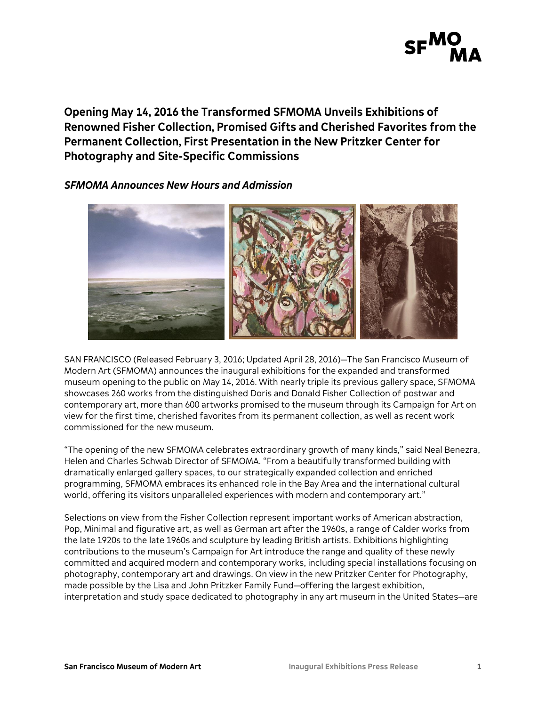

**Opening May 14, 2016 the Transformed SFMOMA Unveils Exhibitions of Renowned Fisher Collection, Promised Gifts and Cherished Favorites from the Permanent Collection, First Presentation in the New Pritzker Center for Photography and Site-Specific Commissions**

# *SFMOMA Announces New Hours and Admission*



SAN FRANCISCO (Released February 3, 2016; Updated April 28, 2016)—The San Francisco Museum of Modern Art (SFMOMA) announces the inaugural exhibitions for the expanded and transformed museum opening to the public on May 14, 2016. With nearly triple its previous gallery space, SFMOMA showcases 260 works from the distinguished Doris and Donald Fisher Collection of postwar and contemporary art, more than 600 artworks promised to the museum through its Campaign for Art on view for the first time, cherished favorites from its permanent collection, as well as recent work commissioned for the new museum.

"The opening of the new SFMOMA celebrates extraordinary growth of many kinds," said Neal Benezra, Helen and Charles Schwab Director of SFMOMA. "From a beautifully transformed building with dramatically enlarged gallery spaces, to our strategically expanded collection and enriched programming, SFMOMA embraces its enhanced role in the Bay Area and the international cultural world, offering its visitors unparalleled experiences with modern and contemporary art."

Selections on view from the Fisher Collection represent important works of American abstraction, Pop, Minimal and figurative art, as well as German art after the 1960s, a range of Calder works from the late 1920s to the late 1960s and sculpture by leading British artists. Exhibitions highlighting contributions to the museum's Campaign for Art introduce the range and quality of these newly committed and acquired modern and contemporary works, including special installations focusing on photography, contemporary art and drawings. On view in the new Pritzker Center for Photography, made possible by the Lisa and John Pritzker Family Fund—offering the largest exhibition, interpretation and study space dedicated to photography in any art museum in the United States—are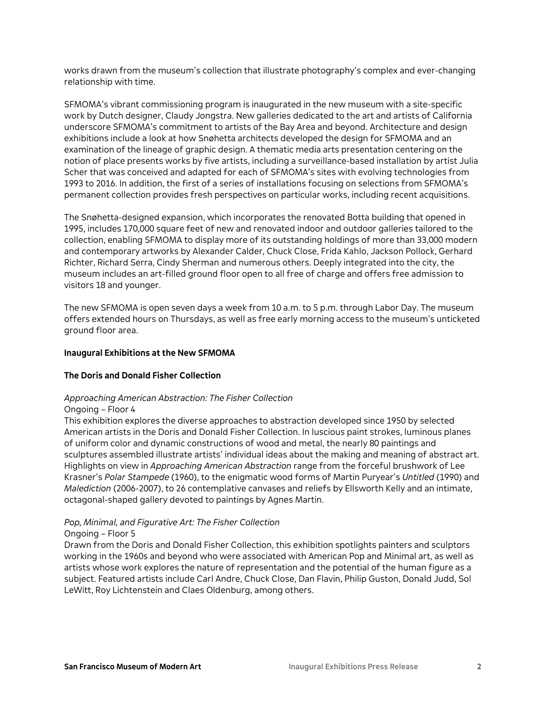works drawn from the museum's collection that illustrate photography's complex and ever-changing relationship with time.

SFMOMA's vibrant commissioning program is inaugurated in the new museum with a site-specific work by Dutch designer, Claudy Jongstra. New galleries dedicated to the art and artists of California underscore SFMOMA's commitment to artists of the Bay Area and beyond. Architecture and design exhibitions include a look at how Snøhetta architects developed the design for SFMOMA and an examination of the lineage of graphic design. A thematic media arts presentation centering on the notion of place presents works by five artists, including a surveillance-based installation by artist Julia Scher that was conceived and adapted for each of SFMOMA's sites with evolving technologies from 1993 to 2016. In addition, the first of a series of installations focusing on selections from SFMOMA's permanent collection provides fresh perspectives on particular works, including recent acquisitions.

The Snøhetta-designed expansion, which incorporates the renovated Botta building that opened in 1995, includes 170,000 square feet of new and renovated indoor and outdoor galleries tailored to the collection, enabling SFMOMA to display more of its outstanding holdings of more than 33,000 modern and contemporary artworks by Alexander Calder, Chuck Close, Frida Kahlo, Jackson Pollock, Gerhard Richter, Richard Serra, Cindy Sherman and numerous others. Deeply integrated into the city, the museum includes an art-filled ground floor open to all free of charge and offers free admission to visitors 18 and younger.

The new SFMOMA is open seven days a week from 10 a.m. to 5 p.m. through Labor Day. The museum offers extended hours on Thursdays, as well as free early morning access to the museum's unticketed ground floor area.

### **Inaugural Exhibitions at the New SFMOMA**

### **The Doris and Donald Fisher Collection**

### *Approaching American Abstraction: The Fisher Collection*

#### Ongoing – Floor 4

This exhibition explores the diverse approaches to abstraction developed since 1950 by selected American artists in the Doris and Donald Fisher Collection. In luscious paint strokes, luminous planes of uniform color and dynamic constructions of wood and metal, the nearly 80 paintings and sculptures assembled illustrate artists' individual ideas about the making and meaning of abstract art. Highlights on view in *Approaching American Abstraction* range from the forceful brushwork of Lee Krasner's *Polar Stampede* (1960), to the enigmatic wood forms of Martin Puryear's *Untitled* (1990) and *Malediction* (2006-2007), to 26 contemplative canvases and reliefs by Ellsworth Kelly and an intimate, octagonal-shaped gallery devoted to paintings by Agnes Martin.

### *Pop, Minimal, and Figurative Art: The Fisher Collection*

### Ongoing – Floor 5

Drawn from the Doris and Donald Fisher Collection, this exhibition spotlights painters and sculptors working in the 1960s and beyond who were associated with American Pop and Minimal art, as well as artists whose work explores the nature of representation and the potential of the human figure as a subject. Featured artists include Carl Andre, Chuck Close, Dan Flavin, Philip Guston, Donald Judd, Sol LeWitt, Roy Lichtenstein and Claes Oldenburg, among others.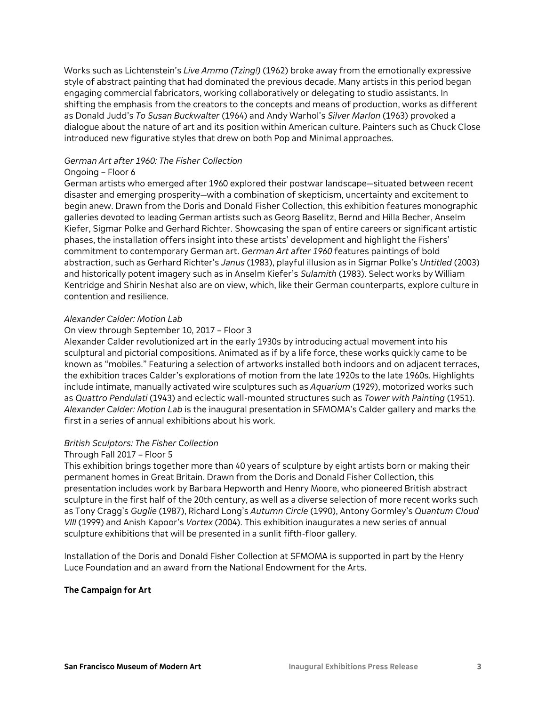Works such as Lichtenstein's *Live Ammo (Tzing!)* (1962) broke away from the emotionally expressive style of abstract painting that had dominated the previous decade. Many artists in this period began engaging commercial fabricators, working collaboratively or delegating to studio assistants. In shifting the emphasis from the creators to the concepts and means of production, works as different as Donald Judd's *To Susan Buckwalter* (1964) and Andy Warhol's *Silver Marlon* (1963) provoked a dialogue about the nature of art and its position within American culture. Painters such as Chuck Close introduced new figurative styles that drew on both Pop and Minimal approaches.

### *German Art after 1960: The Fisher Collection*

# Ongoing – Floor 6

German artists who emerged after 1960 explored their postwar landscape—situated between recent disaster and emerging prosperity—with a combination of skepticism, uncertainty and excitement to begin anew. Drawn from the Doris and Donald Fisher Collection, this exhibition features monographic galleries devoted to leading German artists such as Georg Baselitz, Bernd and Hilla Becher, Anselm Kiefer, Sigmar Polke and Gerhard Richter. Showcasing the span of entire careers or significant artistic phases, the installation offers insight into these artists' development and highlight the Fishers' commitment to contemporary German art. *German Art after 1960* features paintings of bold abstraction, such as Gerhard Richter's *Janus* (1983), playful illusion as in Sigmar Polke's *Untitled* (2003) and historically potent imagery such as in Anselm Kiefer's *Sulamith* (1983). Select works by William Kentridge and Shirin Neshat also are on view, which, like their German counterparts, explore culture in contention and resilience.

# *Alexander Calder: Motion Lab*

# On view through September 10, 2017 – Floor 3

Alexander Calder revolutionized art in the early 1930s by introducing actual movement into his sculptural and pictorial compositions. Animated as if by a life force, these works quickly came to be known as "mobiles." Featuring a selection of artworks installed both indoors and on adjacent terraces, the exhibition traces Calder's explorations of motion from the late 1920s to the late 1960s. Highlights include intimate, manually activated wire sculptures such as *Aquarium* (1929), motorized works such as *Quattro Pendulati* (1943) and eclectic wall-mounted structures such as *Tower with Painting* (1951). *Alexander Calder: Motion Lab* is the inaugural presentation in SFMOMA's Calder gallery and marks the first in a series of annual exhibitions about his work.

### *British Sculptors: The Fisher Collection*

### Through Fall 2017 – Floor 5

This exhibition brings together more than 40 years of sculpture by eight artists born or making their permanent homes in Great Britain. Drawn from the Doris and Donald Fisher Collection, this presentation includes work by Barbara Hepworth and Henry Moore, who pioneered British abstract sculpture in the first half of the 20th century, as well as a diverse selection of more recent works such as Tony Cragg's *Guglie* (1987), Richard Long's *Autumn Circle* (1990), Antony Gormley's *Quantum Cloud VIII* (1999) and Anish Kapoor's *Vortex* (2004). This exhibition inaugurates a new series of annual sculpture exhibitions that will be presented in a sunlit fifth-floor gallery.

Installation of the Doris and Donald Fisher Collection at SFMOMA is supported in part by the Henry Luce Foundation and an award from the National Endowment for the Arts.

### **The Campaign for Art**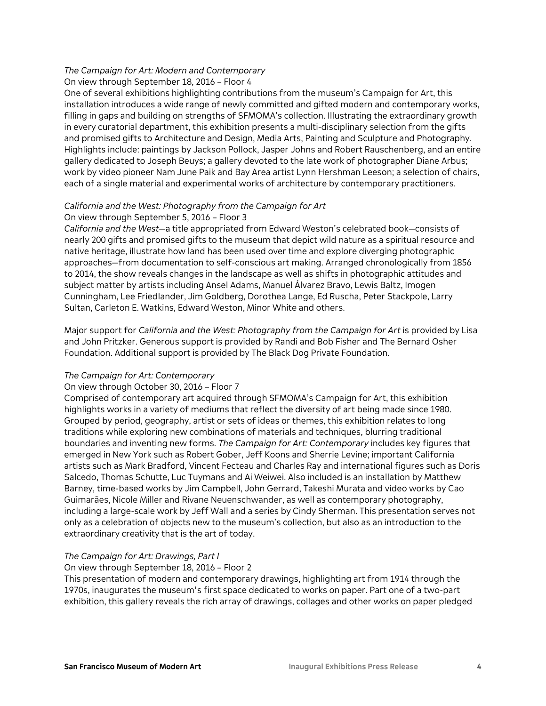# *The Campaign for Art: Modern and Contemporary*

On view through September 18, 2016 – Floor 4

One of several exhibitions highlighting contributions from the museum's Campaign for Art, this installation introduces a wide range of newly committed and gifted modern and contemporary works, filling in gaps and building on strengths of SFMOMA's collection. Illustrating the extraordinary growth in every curatorial department, this exhibition presents a multi-disciplinary selection from the gifts and promised gifts to Architecture and Design, Media Arts, Painting and Sculpture and Photography. Highlights include: paintings by Jackson Pollock, Jasper Johns and Robert Rauschenberg, and an entire gallery dedicated to Joseph Beuys; a gallery devoted to the late work of photographer Diane Arbus; work by video pioneer Nam June Paik and Bay Area artist Lynn Hershman Leeson; a selection of chairs, each of a single material and experimental works of architecture by contemporary practitioners.

# *California and the West: Photography from the Campaign for Art* On view through September 5, 2016 – Floor 3

*California and the West*—a title appropriated from Edward Weston's celebrated book—consists of nearly 200 gifts and promised gifts to the museum that depict wild nature as a spiritual resource and native heritage, illustrate how land has been used over time and explore diverging photographic approaches—from documentation to self-conscious art making. Arranged chronologically from 1856 to 2014, the show reveals changes in the landscape as well as shifts in photographic attitudes and subject matter by artists including Ansel Adams, Manuel Álvarez Bravo, Lewis Baltz, Imogen Cunningham, Lee Friedlander, Jim Goldberg, Dorothea Lange, Ed Ruscha, Peter Stackpole, Larry Sultan, Carleton E. Watkins, Edward Weston, Minor White and others.

Major support for *California and the West: Photography from the Campaign for Art* is provided by Lisa and John Pritzker. Generous support is provided by Randi and Bob Fisher and The Bernard Osher Foundation. Additional support is provided by The Black Dog Private Foundation.

# *The Campaign for Art: Contemporary*

# On view through October 30, 2016 – Floor 7

Comprised of contemporary art acquired through SFMOMA's Campaign for Art, this exhibition highlights works in a variety of mediums that reflect the diversity of art being made since 1980. Grouped by period, geography, artist or sets of ideas or themes, this exhibition relates to long traditions while exploring new combinations of materials and techniques, blurring traditional boundaries and inventing new forms. *The Campaign for Art: Contemporary* includes key figures that emerged in New York such as Robert Gober, Jeff Koons and Sherrie Levine; important California artists such as Mark Bradford, Vincent Fecteau and Charles Ray and international figures such as Doris Salcedo, Thomas Schutte, Luc Tuymans and Ai Weiwei. Also included is an installation by Matthew Barney, time-based works by Jim Campbell, John Gerrard, Takeshi Murata and video works by Cao Guimarães, Nicole Miller and Rivane Neuenschwander, as well as contemporary photography, including a large-scale work by Jeff Wall and a series by Cindy Sherman. This presentation serves not only as a celebration of objects new to the museum's collection, but also as an introduction to the extraordinary creativity that is the art of today.

# *The Campaign for Art: Drawings, Part I*

# On view through September 18, 2016 – Floor 2

This presentation of modern and contemporary drawings, highlighting art from 1914 through the 1970s, inaugurates the museum's first space dedicated to works on paper. Part one of a two-part exhibition, this gallery reveals the rich array of drawings, collages and other works on paper pledged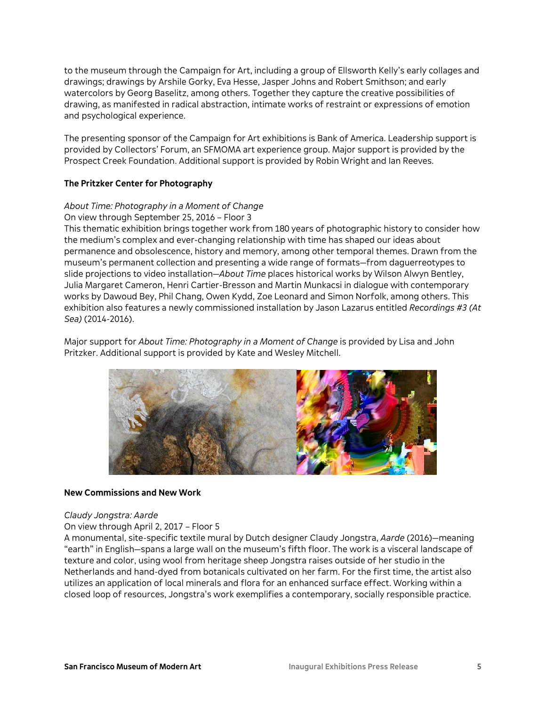to the museum through the Campaign for Art, including a group of Ellsworth Kelly's early collages and drawings; drawings by Arshile Gorky, Eva Hesse, Jasper Johns and Robert Smithson; and early watercolors by Georg Baselitz, among others. Together they capture the creative possibilities of drawing, as manifested in radical abstraction, intimate works of restraint or expressions of emotion and psychological experience.

The presenting sponsor of the Campaign for Art exhibitions is Bank of America. Leadership support is provided by Collectors' Forum, an SFMOMA art experience group. Major support is provided by the Prospect Creek Foundation. Additional support is provided by Robin Wright and Ian Reeves.

# **The Pritzker Center for Photography**

# *About Time: Photography in a Moment of Change*

### On view through September 25, 2016 – Floor 3

This thematic exhibition brings together work from 180 years of photographic history to consider how the medium's complex and ever-changing relationship with time has shaped our ideas about permanence and obsolescence, history and memory, among other temporal themes. Drawn from the museum's permanent collection and presenting a wide range of formats—from daguerreotypes to slide projections to video installation—*About Time* places historical works by Wilson Alwyn Bentley, Julia Margaret Cameron, Henri Cartier-Bresson and Martin Munkacsi in dialogue with contemporary works by Dawoud Bey, Phil Chang, Owen Kydd, Zoe Leonard and Simon Norfolk, among others. This exhibition also features a newly commissioned installation by Jason Lazarus entitled *Recordings #3 (At Sea)* (2014-2016).

Major support for *About Time: Photography in a Moment of Change* is provided by Lisa and John Pritzker. Additional support is provided by Kate and Wesley Mitchell.



#### **New Commissions and New Work**

#### *Claudy Jongstra: Aarde*

### On view through April 2, 2017 – Floor 5

A monumental, site-specific textile mural by Dutch designer Claudy Jongstra, *Aarde* (2016)—meaning "earth" in English—spans a large wall on the museum's fifth floor. The work is a visceral landscape of texture and color, using wool from heritage sheep Jongstra raises outside of her studio in the Netherlands and hand-dyed from botanicals cultivated on her farm. For the first time, the artist also utilizes an application of local minerals and flora for an enhanced surface effect. Working within a closed loop of resources, Jongstra's work exemplifies a contemporary, socially responsible practice.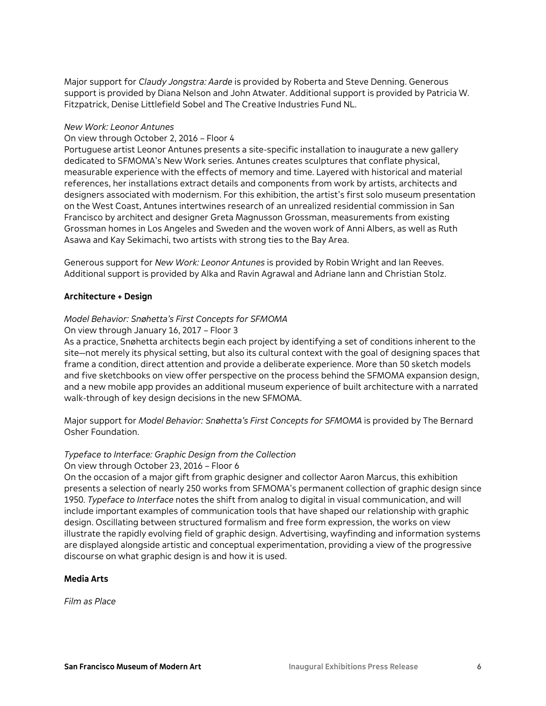Major support for *Claudy Jongstra: Aarde* is provided by Roberta and Steve Denning. Generous support is provided by Diana Nelson and John Atwater. Additional support is provided by Patricia W. Fitzpatrick, Denise Littlefield Sobel and The Creative Industries Fund NL.

# *New Work: Leonor Antunes*

### On view through October 2, 2016 – Floor 4

Portuguese artist Leonor Antunes presents a site-specific installation to inaugurate a new gallery dedicated to SFMOMA's New Work series. Antunes creates sculptures that conflate physical, measurable experience with the effects of memory and time. Layered with historical and material references, her installations extract details and components from work by artists, architects and designers associated with modernism. For this exhibition, the artist's first solo museum presentation on the West Coast, Antunes intertwines research of an unrealized residential commission in San Francisco by architect and designer Greta Magnusson Grossman, measurements from existing Grossman homes in Los Angeles and Sweden and the woven work of Anni Albers, as well as Ruth Asawa and Kay Sekimachi, two artists with strong ties to the Bay Area.

Generous support for *New Work: Leonor Antunes* is provided by Robin Wright and Ian Reeves. Additional support is provided by Alka and Ravin Agrawal and Adriane Iann and Christian Stolz.

# **Architecture + Design**

# *Model Behavior: Snøhetta's First Concepts for SFMOMA*

# On view through January 16, 2017 – Floor 3

As a practice, Snøhetta architects begin each project by identifying a set of conditions inherent to the site—not merely its physical setting, but also its cultural context with the goal of designing spaces that frame a condition, direct attention and provide a deliberate experience. More than 50 sketch models and five sketchbooks on view offer perspective on the process behind the SFMOMA expansion design, and a new mobile app provides an additional museum experience of built architecture with a narrated walk-through of key design decisions in the new SFMOMA.

Major support for *Model Behavior: Snøhetta's First Concepts for SFMOMA* is provided by The Bernard Osher Foundation.

### *Typeface to Interface: Graphic Design from the Collection*

### On view through October 23, 2016 – Floor 6

On the occasion of a major gift from graphic designer and collector Aaron Marcus, this exhibition presents a selection of nearly 250 works from SFMOMA's permanent collection of graphic design since 1950. *Typeface to Interface* notes the shift from analog to digital in visual communication, and will include important examples of communication tools that have shaped our relationship with graphic design. Oscillating between structured formalism and free form expression, the works on view illustrate the rapidly evolving field of graphic design. Advertising, wayfinding and information systems are displayed alongside artistic and conceptual experimentation, providing a view of the progressive discourse on what graphic design is and how it is used.

### **Media Arts**

*Film as Place*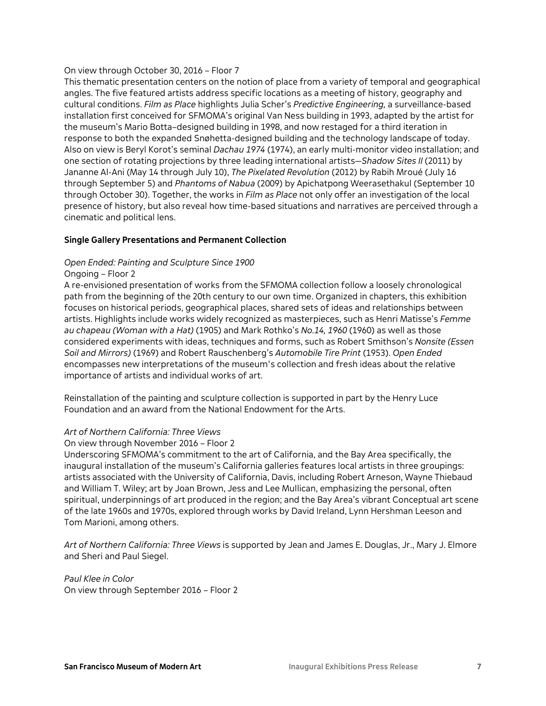# On view through October 30, 2016 – Floor 7

This thematic presentation centers on the notion of place from a variety of temporal and geographical angles. The five featured artists address specific locations as a meeting of history, geography and cultural conditions. *Film as Place* highlights Julia Scher's *Predictive Engineering,* a surveillance-based installation first conceived for SFMOMA's original Van Ness building in 1993, adapted by the artist for the museum's Mario Botta–designed building in 1998, and now restaged for a third iteration in response to both the expanded Snøhetta-designed building and the technology landscape of today. Also on view is Beryl Korot's seminal *Dachau 1974* (1974), an early multi-monitor video installation; and one section of rotating projections by three leading international artists—*Shadow Sites II* (2011) by Jananne Al-Ani (May 14 through July 10), *The Pixelated Revolution* (2012) by Rabih Mroué (July 16 through September 5) and *Phantoms of Nabua* (2009) by Apichatpong Weerasethakul (September 10 through October 30). Together, the works in *Film as Place* not only offer an investigation of the local presence of history, but also reveal how time-based situations and narratives are perceived through a cinematic and political lens.

# **Single Gallery Presentations and Permanent Collection**

# *Open Ended: Painting and Sculpture Since 1900*

# Ongoing – Floor 2

A re-envisioned presentation of works from the SFMOMA collection follow a loosely chronological path from the beginning of the 20th century to our own time. Organized in chapters, this exhibition focuses on historical periods, geographical places, shared sets of ideas and relationships between artists. Highlights include works widely recognized as masterpieces, such as Henri Matisse's *Femme au chapeau (Woman with a Hat)* (1905) and Mark Rothko's *No.14, 1960* (1960) as well as those considered experiments with ideas, techniques and forms, such as Robert Smithson's *Nonsite (Essen Soil and Mirrors)* (1969) and Robert Rauschenberg's *Automobile Tire Print* (1953). *Open Ended* encompasses new interpretations of the museum's collection and fresh ideas about the relative importance of artists and individual works of art.

Reinstallation of the painting and sculpture collection is supported in part by the Henry Luce Foundation and an award from the National Endowment for the Arts.

# *Art of Northern California: Three Views*

# On view through November 2016 – Floor 2

Underscoring SFMOMA's commitment to the art of California, and the Bay Area specifically, the inaugural installation of the museum's California galleries features local artists in three groupings: artists associated with the University of California, Davis, including Robert Arneson, Wayne Thiebaud and William T. Wiley; art by Joan Brown, Jess and Lee Mullican, emphasizing the personal, often spiritual, underpinnings of art produced in the region; and the Bay Area's vibrant Conceptual art scene of the late 1960s and 1970s, explored through works by David Ireland, Lynn Hershman Leeson and Tom Marioni, among others.

*Art of Northern California: Three Views* is supported by Jean and James E. Douglas, Jr., Mary J. Elmore and Sheri and Paul Siegel.

*Paul Klee in Color* On view through September 2016 – Floor 2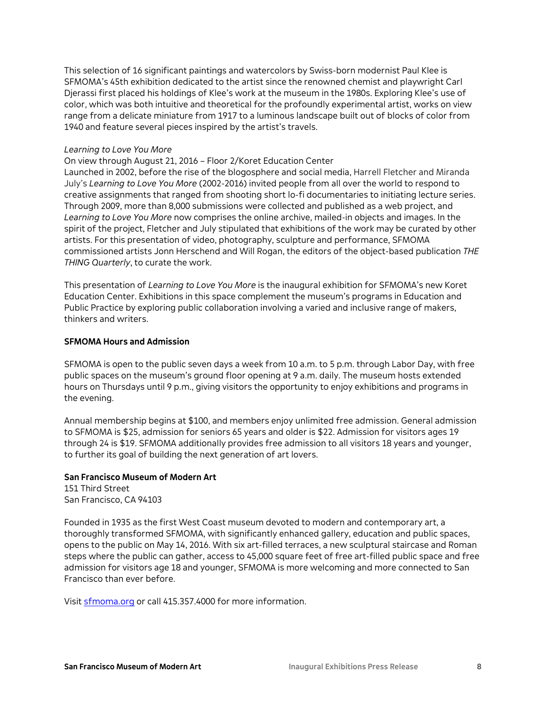This selection of 16 significant paintings and watercolors by Swiss-born modernist Paul Klee is SFMOMA's 45th exhibition dedicated to the artist since the renowned chemist and playwright Carl Djerassi first placed his holdings of Klee's work at the museum in the 1980s. Exploring Klee's use of color, which was both intuitive and theoretical for the profoundly experimental artist, works on view range from a delicate miniature from 1917 to a luminous landscape built out of blocks of color from 1940 and feature several pieces inspired by the artist's travels.

### *Learning to Love You More*

On view through August 21, 2016 – Floor 2/Koret Education Center

Launched in 2002, before the rise of the blogosphere and social media, Harrell Fletcher and Miranda July's *Learning to Love You More* (2002-2016) invited people from all over the world to respond to creative assignments that ranged from shooting short lo-fi documentaries to initiating lecture series. Through 2009, more than 8,000 submissions were collected and published as a web project, and *Learning to Love You More* now comprises the online archive, mailed-in objects and images. In the spirit of the project, Fletcher and July stipulated that exhibitions of the work may be curated by other artists. For this presentation of video, photography, sculpture and performance, SFMOMA commissioned artists Jonn Herschend and Will Rogan, the editors of the object-based publication *THE THING Quarterly*, to curate the work.

This presentation of *Learning to Love You More* is the inaugural exhibition for SFMOMA's new Koret Education Center. Exhibitions in this space complement the museum's programs in Education and Public Practice by exploring public collaboration involving a varied and inclusive range of makers, thinkers and writers.

#### **SFMOMA Hours and Admission**

SFMOMA is open to the public seven days a week from 10 a.m. to 5 p.m. through Labor Day, with free public spaces on the museum's ground floor opening at 9 a.m. daily. The museum hosts extended hours on Thursdays until 9 p.m., giving visitors the opportunity to enjoy exhibitions and programs in the evening.

Annual membership begins at \$100, and members enjoy unlimited free admission. General admission to SFMOMA is \$25, admission for seniors 65 years and older is \$22. Admission for visitors ages 19 through 24 is \$19. SFMOMA additionally provides free admission to all visitors 18 years and younger, to further its goal of building the next generation of art lovers.

# **San Francisco Museum of Modern Art**

151 Third Street San Francisco, CA 94103

Founded in 1935 as the first West Coast museum devoted to modern and contemporary art, a thoroughly transformed SFMOMA, with significantly enhanced gallery, education and public spaces, opens to the public on May 14, 2016. With six art-filled terraces, a new sculptural staircase and Roman steps where the public can gather, access to 45,000 square feet of free art-filled public space and free admission for visitors age 18 and younger, SFMOMA is more welcoming and more connected to San Francisco than ever before.

Visit [sfmoma.org](http://www.sfmoma.org/) or call 415.357.4000 for more information.